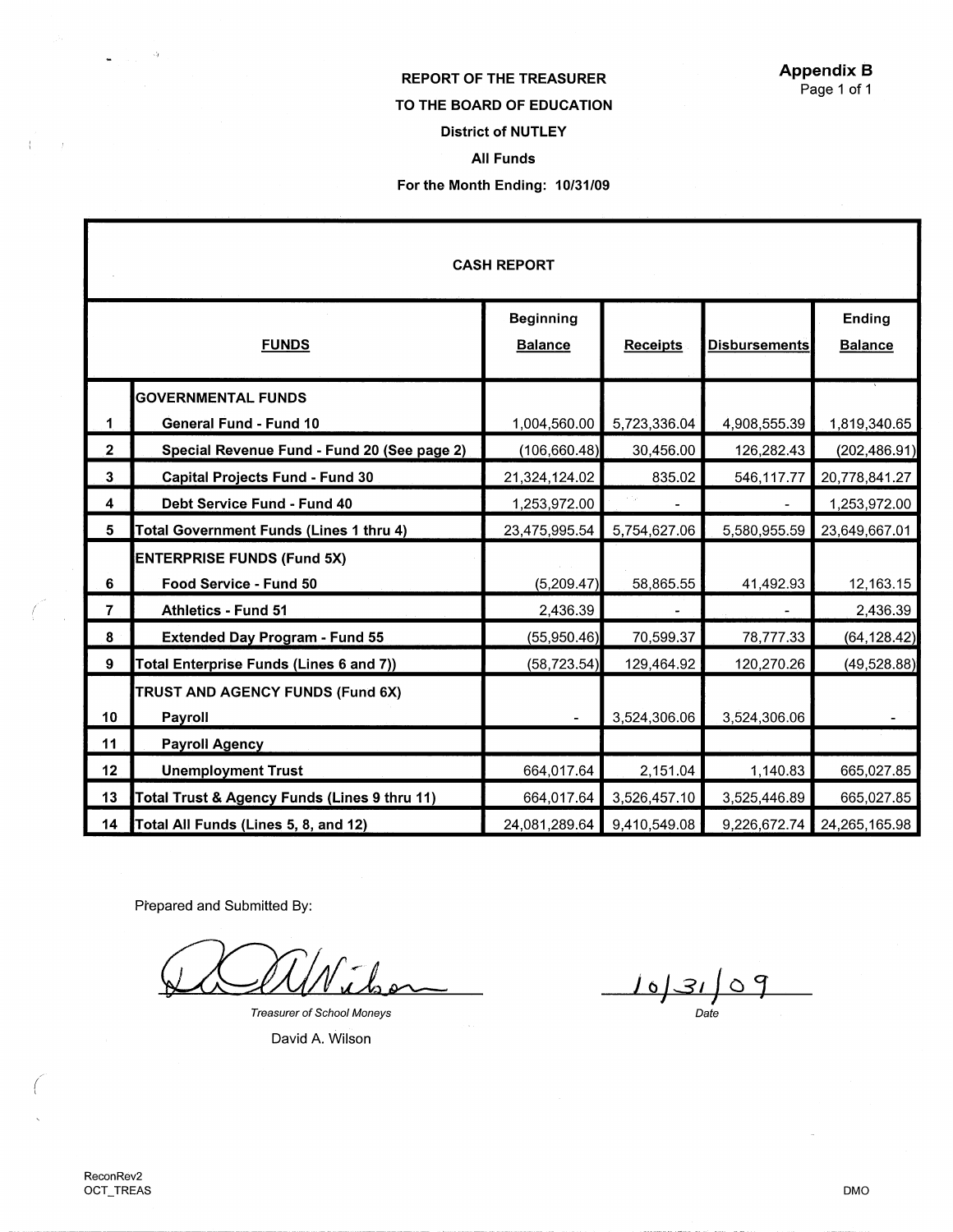## REPORT OF THE TREASURER TO THE BOARD OF EDUCATION District of NUTLEY All Funds For the Month Ending: 10/31/09

| <b>CASH REPORT</b>      |                                              |                                    |                 |                      |                          |
|-------------------------|----------------------------------------------|------------------------------------|-----------------|----------------------|--------------------------|
| <b>FUNDS</b>            |                                              | <b>Beginning</b><br><b>Balance</b> | <b>Receipts</b> | <b>Disbursements</b> | Ending<br><b>Balance</b> |
|                         | <b>GOVERNMENTAL FUNDS</b>                    |                                    |                 |                      |                          |
| 1                       | General Fund - Fund 10                       | 1,004,560.00                       | 5,723,336.04    | 4,908,555.39         | 1,819,340.65             |
| $\mathbf{2}$            | Special Revenue Fund - Fund 20 (See page 2)  | (106, 660.48)                      | 30,456.00       | 126,282.43           | (202, 486.91)            |
| 3                       | <b>Capital Projects Fund - Fund 30</b>       | 21,324,124.02                      | 835.02          | 546,117.77           | 20,778,841.27            |
| $\overline{\mathbf{4}}$ | Debt Service Fund - Fund 40                  | 1,253,972.00                       |                 |                      | 1,253,972.00             |
| $5\phantom{.0}$         | Total Government Funds (Lines 1 thru 4)      | 23,475,995.54                      | 5,754,627.06    | 5,580,955.59         | 23,649,667.01            |
|                         | <b>ENTERPRISE FUNDS (Fund 5X)</b>            |                                    |                 |                      |                          |
| 6                       | Food Service - Fund 50                       | (5,209.47)                         | 58,865.55       | 41,492.93            | 12,163.15                |
| $\overline{7}$          | <b>Athletics - Fund 51</b>                   | 2,436.39                           |                 |                      | 2,436.39                 |
| 8                       | <b>Extended Day Program - Fund 55</b>        | (55,950.46)                        | 70,599.37       | 78,777.33            | (64, 128.42)             |
| 9                       | Total Enterprise Funds (Lines 6 and 7))      | (58, 723.54)                       | 129,464.92      | 120,270.26           | (49, 528.88)             |
| 10 <sub>1</sub>         | TRUST AND AGENCY FUNDS (Fund 6X)<br>Payroll  |                                    | 3,524,306.06    | 3,524,306.06         |                          |
| 11                      | <b>Payroll Agency</b>                        |                                    |                 |                      |                          |
| 12                      | <b>Unemployment Trust</b>                    | 664,017.64                         | 2,151.04        | 1,140.83             | 665,027.85               |
| 13                      | Total Trust & Agency Funds (Lines 9 thru 11) | 664,017.64                         | 3,526,457.10    | 3,525,446.89         | 665,027.85               |
| 14                      | Total All Funds (Lines 5, 8, and 12)         | 24,081,289.64                      | 9,410,549.08    | 9,226,672.74         | 24,265,165.98            |

Prepared and Submitted By:

Treasurer of School Moneys

David A. Wilson

 $103109$ 

 $\bullet$  , and  $\circ$ 

 $A\in\mathbb{R}^n$  ,  $f$  ,

*(* 

 $\mathcal{L}$  $\tilde{\mathcal{A}}$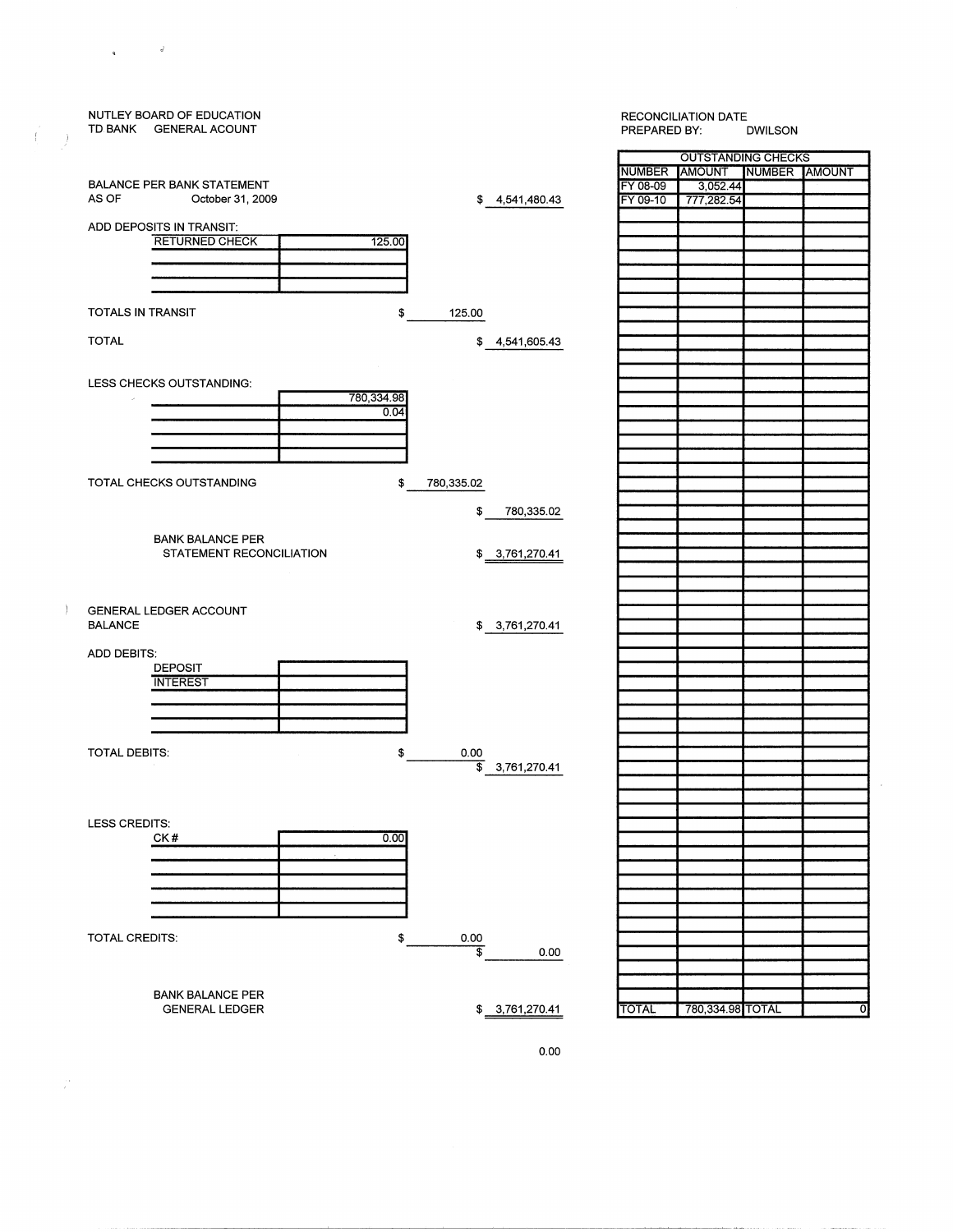

 $\sim$   $^{-3}$ 

 $\mathbf{R}^{(1)}$  and

 $\langle$ 

-

 $\mathbb{R}^+$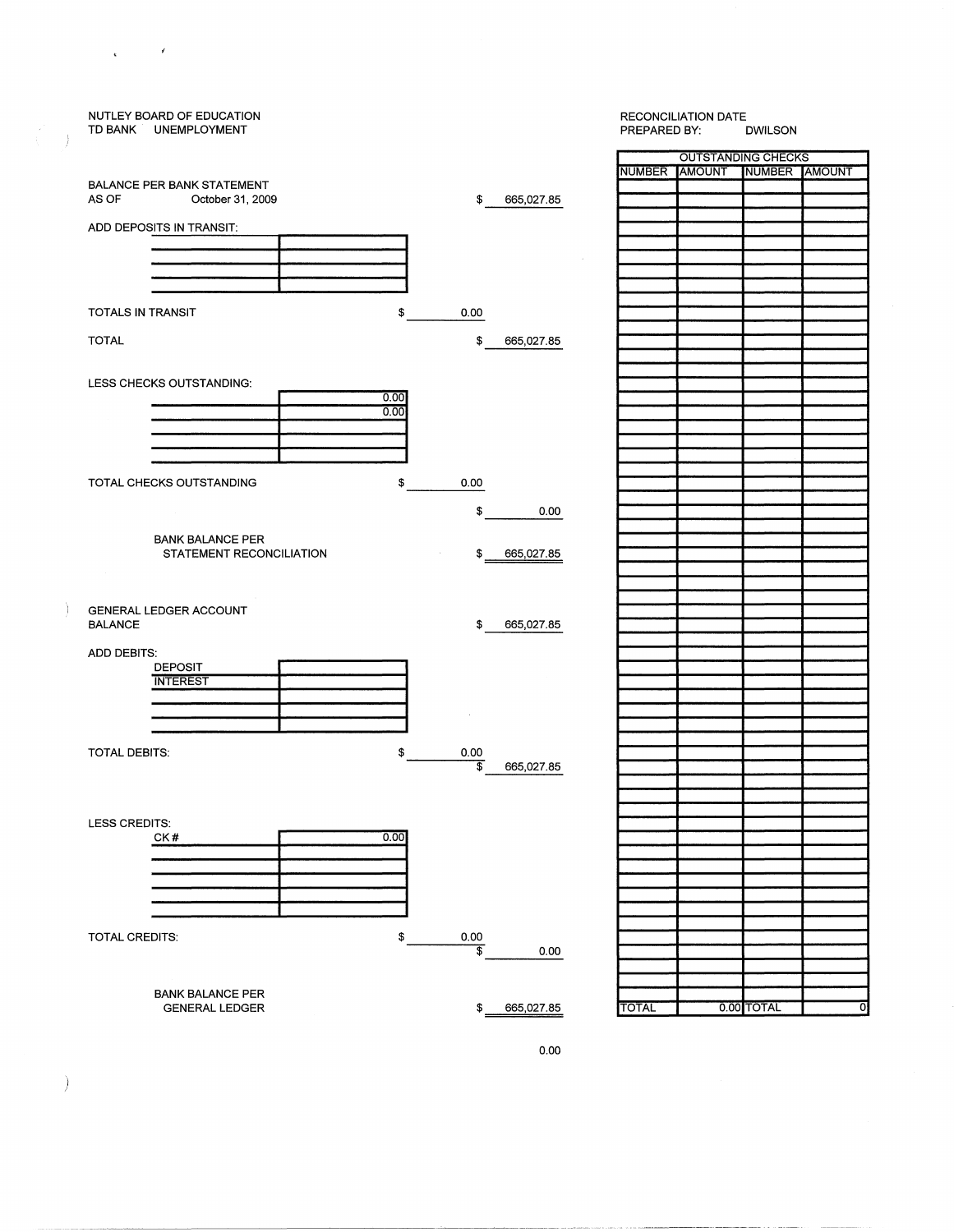

)

 $\mathcal{C}^{\mathcal{C}}$  and  $\mathcal{C}^{\mathcal{C}}$ 

J

Ĵ.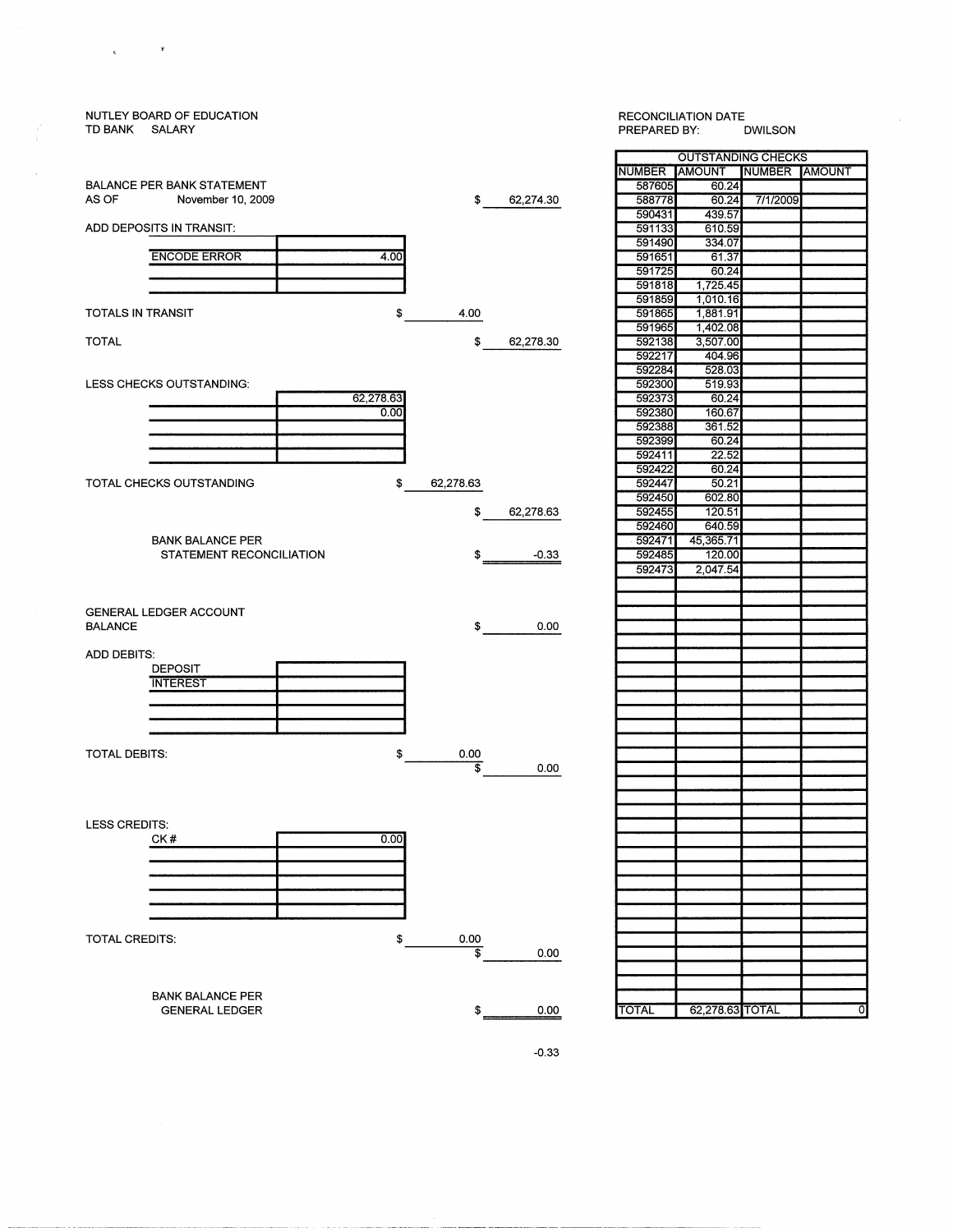### NUTLEY BOARD OF EDUCATION TD BANK SALARY BALANCE PER BANK STATEMENT ASOF November 10, 2009 ADD DEPOSITS IN TRANSIT: ENCODE ERROR 4.00 TOTALS IN TRANSIT \$ TOTAL LESS CHECKS OUTSTANDING:  $\frac{62,278.63}{0.00}$ TOTAL CHECKS OUTSTANDING \$ 62,278.63 592447 50.21 BANK BALANCE PER STATEMENT RECONCILIATION GENERAL LEDGER ACCOUNT BALANCE  $\updownarrow$   $\updownarrow$  0.00 ADD DEBITS: DEPOSIT **INTEREST** TOTAL DEBITS: \$ 0.00  $\frac{1}{2}$  0.00 LESS CREDITS: CK#  $0.00$  $\overline{\phantom{0}}$ TOTAL CREDITS: \$ 0.00  $\frac{1}{2}$  0.00 BANK BALANCE PER \$ 0.00 TOTAL 62,278.63 TOTAL GENERAL LEDGER

 $\mathbf{r}$ 

 $\epsilon$ 

# RECONCILIATION DATE<br>PREPARED BY: DWILSON PREPARED BY: OUTSTANDING CHECKS NUMBER AMOUNT NUMBER AMOUNT 587605<br>588778 \$ 62,274.30 588778 60.24 7/1/2009 590431 591133 610.59 591490 334.07<br>591651 61.37 591651 591725 60.24 591818 1,725.45<br>591859 1,010.16 591859 1,010.16<br>591865 1,881.91 4.00 591865 1,881.91 591965 1,402.08<br>592138 3,507.00 \$62,278.30 592138 3,507.00<br>592217 404.96 592217 592284 528.03 592300 592373 60.24<br>592380 160.67 592380 592388 361.52<br>592399 60.24 592399 592411 22.52 592422 60.24<br>592447 50.21 592450 602.80<br>592455 120.51 \$<u>62,278.63</u> 592455 120.51<br>592460 640.59 592460<br>592471 45,365.71<br>120.00  $\frac{-0.33}{592485}$ 2,047.54

-0.33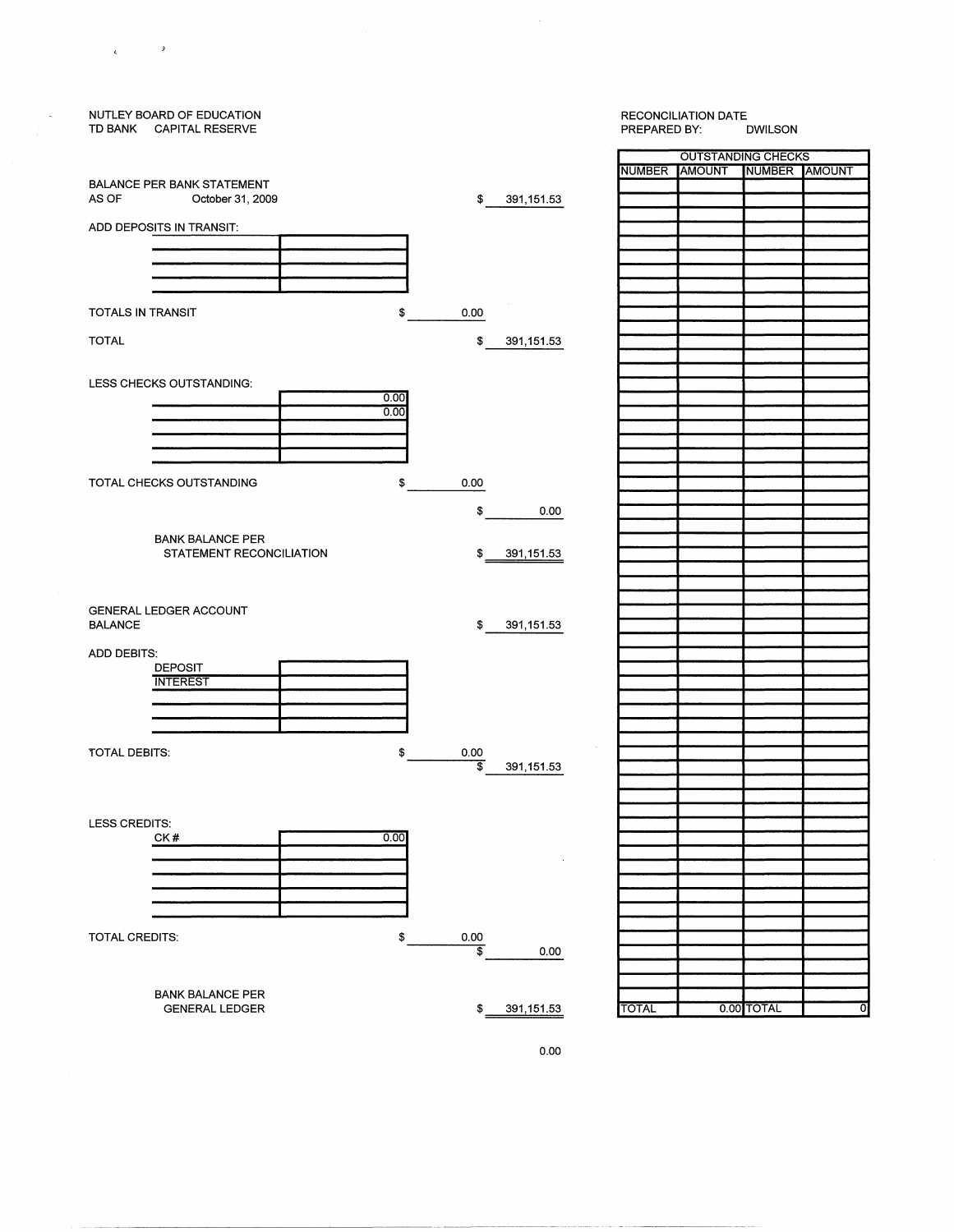#### NUTLEY BOARD OF EDUCATION TD BANK CAPITAL RESERVE PREPARED BY: OUTSTANDING CHECKS NUMBER AMOUNT NUMBER AMOUNT BALANCE PER BANK STATEMENT<br>AS OF October 31, 200 October 31, 2009 \$ 391,151.53 ADD DEPOSITS IN TRANSIT: TOTALS IN TRANSIT \$ 0.00 TOTAL \$ 391,151.53 LESS CHECKS OUTSTANDING:  $\frac{0.00}{0.00}$ TOTAL CHECKS OUTSTANDING 0.00 \$ \$ 0.00 BANK BALANCE PER STATEMENT RECONCILIATION \$ 391,151.53 GENERAL LEDGER ACCOUNT BALANCE \$ 391,151.53 ADD DEBITS· DEPOSIT INTEREST TOTAL DEBITS: \$  $rac{0.00}{\$}$ 391,151.53 LESS CREDITS: CK#  $0.00$ <u>000</u> TOTAL CREDITS: \$ 0.00  $\frac{1}{2}$  0.00 BANK BALANCE PER GENERAL LEDGER \$ 391,151.53 TOTAL 0.00 TOTAL

 $\epsilon$  ,  $\epsilon$  ,  $\epsilon$  ,  $\epsilon$ 

RECONCILIATION DATE<br>PREPARED BY: DWILSON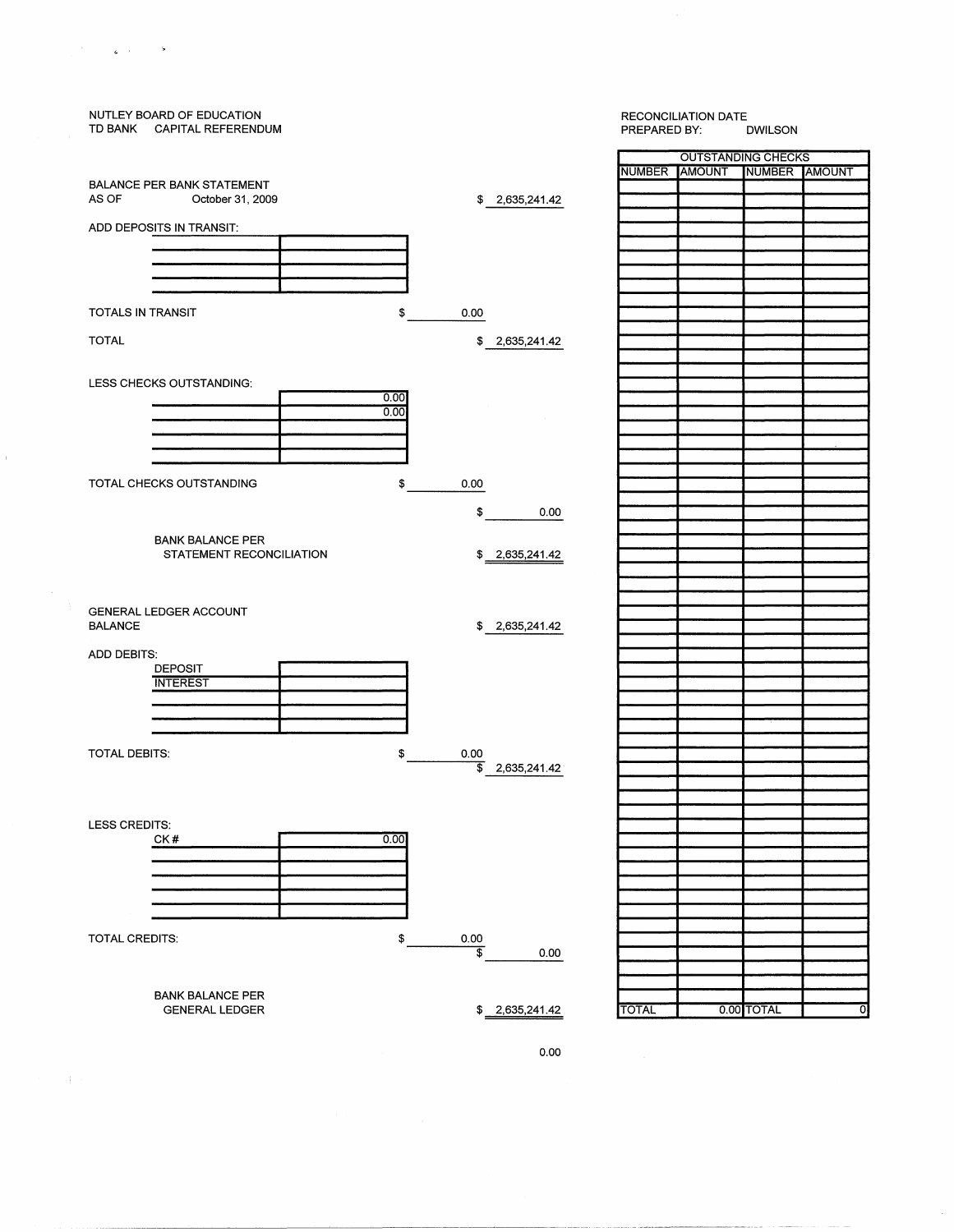

 $\sim$ 

 $\pm$ 

 $\mathbb{Z}_{\mathbf{Z}}$  , and  $\mathbb{Z}_{\mathbf{Z}}$